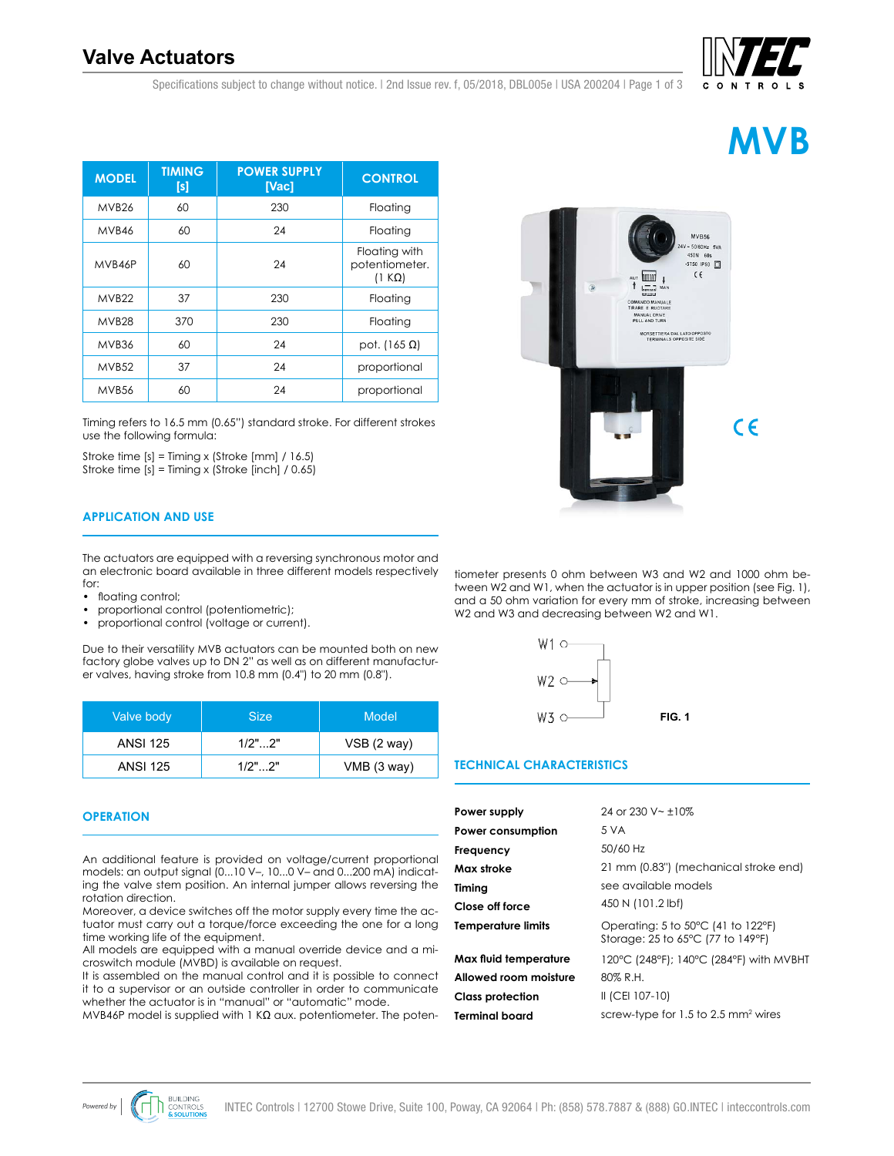# **Valve Actuators**

Specifications subject to change without notice. | 2nd Issue rev. f, 05/2018, DBL005e | USA 200204 | Page 1 of 3

| <b>MODEL</b>      | <b>TIMING</b><br>[s] | <b>POWER SUPPLY</b><br>[Vac] | <b>CONTROL</b>                                   |
|-------------------|----------------------|------------------------------|--------------------------------------------------|
| MVB <sub>26</sub> | 60                   | 230                          | Floating                                         |
| MVB46             | 60                   | 24                           | Floating                                         |
| MVB46P            | 60                   | 24                           | Floating with<br>potentiometer.<br>$(1 K\Omega)$ |
| MVB <sub>22</sub> | 37                   | 230                          | Floating                                         |
| MVB <sub>28</sub> | 370                  | 230                          | Floating                                         |
| MVB36             | 60                   | 24                           | pot. (165 $\Omega$ )                             |
| MVB <sub>52</sub> | 37                   | 24                           | proportional                                     |
| MVB <sub>56</sub> | 60                   | 24                           | proportional                                     |

Timing refers to 16.5 mm (0.65") standard stroke. For different strokes use the following formula:

Stroke time [s] = Timing x (Stroke [mm] / 16.5) Stroke time [s] = Timing x (Stroke [inch] / 0.65)

# **APPLICATION AND USE**

The actuators are equipped with a reversing synchronous motor and an electronic board available in three different models respectively for:

- floating control;
- proportional control (potentiometric);
- proportional control (voltage or current).

Due to their versatility MVB actuators can be mounted both on new factory globe valves up to DN 2" as well as on different manufacturer valves, having stroke from 10.8 mm (0.4") to 20 mm (0.8").

| Valve body      | <b>Size</b> | Model         |
|-----------------|-------------|---------------|
| <b>ANSI 125</b> | $1/2"$ 2"   | $VSB$ (2 way) |
| <b>ANSI 125</b> | $1/2"$ 2"   | VMB (3 way)   |

# **OPERATION**

An additional feature is provided on voltage/current proportional models: an output signal (0...10 V–, 10...0 V– and 0...200 mA) indicating the valve stem position. An internal jumper allows reversing the rotation direction.

Moreover, a device switches off the motor supply every time the actuator must carry out a torque/force exceeding the one for a long time working life of the equipment.

All models are equipped with a manual override device and a microswitch module (MVBD) is available on request.

It is assembled on the manual control and it is possible to connect it to a supervisor or an outside controller in order to communicate whether the actuator is in "manual" or "automatic" mode.

MVB46P model is supplied with 1 KΩ aux. potentiometer. The poten-







tiometer presents 0 ohm between W3 and W2 and 1000 ohm between W2 and W1, when the actuator is in upper position (see Fig. 1), and a 50 ohm variation for every mm of stroke, increasing between W<sub>2</sub> and W<sub>3</sub> and decreasing between W<sub>2</sub> and W<sub>1</sub>.



## **TECHNICAL CHARACTERISTICS**

| Power supply              | 24 or 230 V $\sim$ +10%                                                 |
|---------------------------|-------------------------------------------------------------------------|
| Power consumption         | 5 V A                                                                   |
| Frequency                 | 50/60 Hz                                                                |
| Max stroke                | 21 mm (0.83") (mechanical stroke end)                                   |
| Timing                    | see available models                                                    |
| Close off force           | 450 N (101.2 lbf)                                                       |
| <b>Temperature limits</b> | Operating: 5 to 50°C (41 to 122°F)<br>Storage: 25 to 65°C (77 to 149°F) |
| Max fluid temperature     | 120°C (248°F); 140°C (284°F) with MVBHT                                 |
| Allowed room moisture     | 80% R.H.                                                                |
| <b>Class protection</b>   | II (CEI 107-10)                                                         |
| <b>Terminal board</b>     | screw-type for $1.5$ to 2.5 mm <sup>2</sup> wires                       |
|                           |                                                                         |

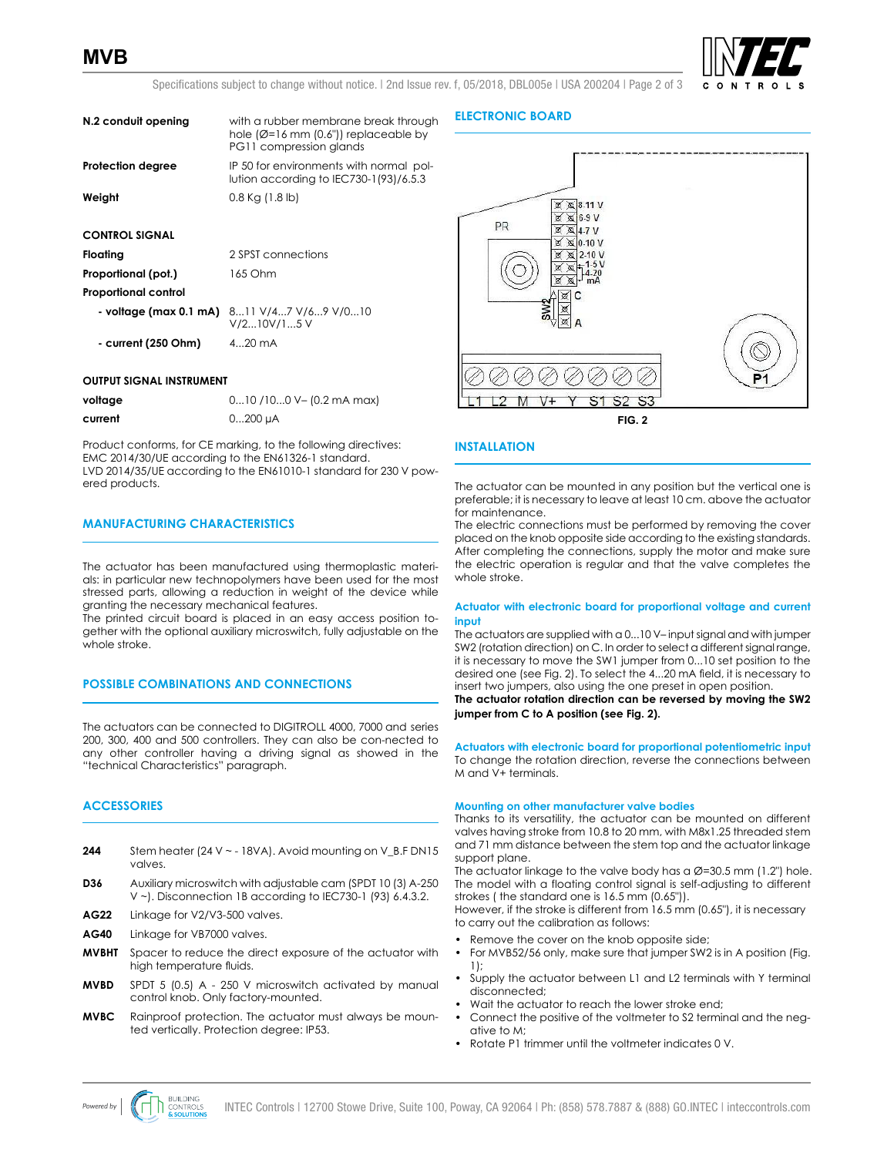

Specifications subject to change without notice. | 2nd Issue rev. f, 05/2018, DBL005e | USA 200204 | Page 2 of 3

| N.2 conduit opening      | with a rubber membrane break through<br>hole $(\emptyset = 16$ mm $(0.6")$ replaceable by<br>PG11 compression glands |
|--------------------------|----------------------------------------------------------------------------------------------------------------------|
| <b>Protection degree</b> | IP 50 for environments with normal pol-<br>lution according to IEC730-1(93)/6.5.3                                    |
| Weight                   | $0.8$ Kg (1.8 lb)                                                                                                    |
| <b>CONTROL SIGNAL</b>    |                                                                                                                      |
| Floating                 | 2 SPST connections                                                                                                   |

| Proportional (pot.)         | 165 Ohm                                                                    |
|-----------------------------|----------------------------------------------------------------------------|
| <b>Proportional control</b> |                                                                            |
|                             | $\sim$ voltage (max 0.1 mA) $\,$ 811 V/47 V/69 V/010<br>$V/2$ 10 $V/1$ 5 V |
| - current (250 Ohm)         | $420$ mA                                                                   |

#### **OUTPUT SIGNAL INSTRUMENT**

| voltage | $010/100$ V - (0.2 mA max) |
|---------|----------------------------|
| current | 0200 µA                    |

Product conforms, for CE marking, to the following directives: EMC 2014/30/UE according to the EN61326-1 standard. LVD 2014/35/UE according to the EN61010-1 standard for 230 V powered products.

## **MANUFACTURING CHARACTERISTICS**

The actuator has been manufactured using thermoplastic materials: in particular new technopolymers have been used for the most stressed parts, allowing a reduction in weight of the device while granting the necessary mechanical features.

The printed circuit board is placed in an easy access position together with the optional auxiliary microswitch, fully adjustable on the whole stroke.

# **POSSIBLE COMBINATIONS AND CONNECTIONS**

The actuators can be connected to DIGITROLL 4000, 7000 and series 200, 300, 400 and 500 controllers. They can also be con-nected to any other controller having a driving signal as showed in the "technical Characteristics" paragraph.

## **ACCESSORIES**

- **244** Stem heater (24 V ~ 18VA). Avoid mounting on V\_B.F DN15 valves.
- **D36** Auxiliary microswitch with adjustable cam (SPDT 10 (3) A-250 V ~). Disconnection 1B according to IEC730-1 (93) 6.4.3.2.
- **AG22** Linkage for V2/V3-500 valves.
- AG40 Linkage for VB7000 valves.
- **MVBHT** Spacer to reduce the direct exposure of the actuator with high temperature fluids.
- **MVBD** SPDT 5 (0.5) A 250 V microswitch activated by manual control knob. Only factory-mounted.
- **MVBC** Rainproof protection. The actuator must always be mounted vertically. Protection degree: IP53.

#### **ELECTRONIC BOARD**



#### **INSTALLATION**

The actuator can be mounted in any position but the vertical one is preferable; it is necessary to leave at least 10 cm. above the actuator for maintenance.

The electric connections must be performed by removing the cover placed on the knob opposite side according to the existing standards. After completing the connections, supply the motor and make sure the electric operation is regular and that the valve completes the whole stroke.

#### **Actuator with electronic board for proportional voltage and current input**

The actuators are supplied with a 0...10 V– input signal and with jumper SW2 (rotation direction) on C. In order to select a different signal range, it is necessary to move the SW1 jumper from 0...10 set position to the desired one (see Fig. 2). To select the 4...20 mA field, it is necessary to insert two jumpers, also using the one preset in open position. **The actuator rotation direction can be reversed by moving the SW2** 

**jumper from C to A position (see Fig. 2).**

**Actuators with electronic board for proportional potentiometric input** To change the rotation direction, reverse the connections between M and V+ terminals.

#### **Mounting on other manufacturer valve bodies**

Thanks to its versatility, the actuator can be mounted on different valves having stroke from 10.8 to 20 mm, with M8x1.25 threaded stem and 71 mm distance between the stem top and the actuator linkage support plane.

The actuator linkage to the valve body has a  $\emptyset$ =30.5 mm (1.2") hole. The model with a floating control signal is self-adjusting to different strokes ( the standard one is 16.5 mm (0.65")).

However, if the stroke is different from 16.5 mm (0.65"), it is necessary to carry out the calibration as follows:

- Remove the cover on the knob opposite side;
- For MVB52/56 only, make sure that jumper SW2 is in A position (Fig. 1);
- Supply the actuator between L1 and L2 terminals with Y terminal disconnected;
- Wait the actuator to reach the lower stroke end;
- Connect the positive of the voltmeter to S2 terminal and the negative to M;
- Rotate P1 trimmer until the voltmeter indicates 0 V.